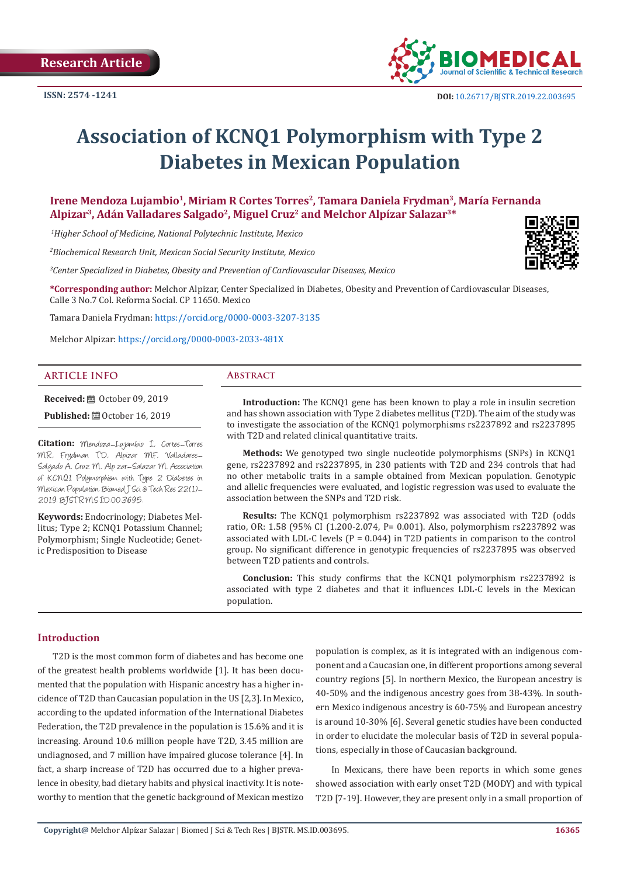

# **Association of KCNQ1 Polymorphism with Type 2 Diabetes in Mexican Population**

Irene Mendoza Lujambio<sup>1</sup>, Miriam R Cortes Torres<sup>2</sup>, Tamara Daniela Frydman<sup>3</sup>, María Fernanda **Alpizar3, Adán Valladares Salgado2, Miguel Cruz2 and Melchor Alpízar Salazar3\***

 *1Higher School of Medicine, National Polytechnic Institute, Mexico*

*2 Biochemical Research Unit, Mexican Social Security Institute, Mexico*

*3 Center Specialized in Diabetes, Obesity and Prevention of Cardiovascular Diseases, Mexico*

**\*Corresponding author:** Melchor Alpizar, Center Specialized in Diabetes, Obesity and Prevention of Cardiovascular Diseases, Calle 3 No.7 Col. Reforma Social. CP 11650. Mexico

Tamara Daniela Frydman: [https://orcid.org/0000-0003-3207-3135](https://linkprotect.cudasvc.com/url?a=https%3a%2f%2forcid.org%2f0000-0003-3207-3135&c=E,1,4YW5sNiIyNAQ-WPrf2nZn0nwFN-octcLLcUtN3nUKyRf_XL5lulTVWVufH4eHa_9cPRA_39mAM_KGTdykIr2ZSik3O-b4jUitHWXQE1Mwx2jusxUjcav&typo=1)

Melchor Alpizar: [https://orcid.org/0000-0003-2033-481X](https://linkprotect.cudasvc.com/url?a=https%3a%2f%2forcid.org%2f0000-0003-2033-481X&c=E,1,ZMOi8sq17ICNH4XIVKVFZwNR2uPHObkFehJlG_JiNEKLO9uJFDjEhz6-O6D7uZYpPUD_dc1pbpz0uW0bhz1TjH7NxMJFCZv4aBgh0XYyijhb&typo=1)

#### **ARTICLE INFO Abstract**

**Received:** ■ October 09, 2019 **Published:** ■ October 16, 2019

**Citation:** Mendoza-Lujambio I, Cortes-Torres MR, Frydman TD, Alpizar MF, Valladares-Salgado A, Cruz M, Alp zar-Salazar M. Association of KCNQ1 Polymorphism with Type 2 Diabetes in Mexican Population. Biomed J Sci & Tech Res 22(1)- 2019. BJSTR.MS.ID.003695.

**Keywords:** Endocrinology; Diabetes Mellitus; Type 2; KCNQ1 Potassium Channel; Polymorphism; Single Nucleotide; Genetic Predisposition to Disease

**Introduction:** The KCNQ1 gene has been known to play a role in insulin secretion and has shown association with Type 2 diabetes mellitus (T2D). The aim of the study was to investigate the association of the KCNQ1 polymorphisms rs2237892 and rs2237895 with T2D and related clinical quantitative traits.

**Methods:** We genotyped two single nucleotide polymorphisms (SNPs) in KCNQ1 gene, rs2237892 and rs2237895, in 230 patients with T2D and 234 controls that had no other metabolic traits in a sample obtained from Mexican population. Genotypic and allelic frequencies were evaluated, and logistic regression was used to evaluate the association between the SNPs and T2D risk.

**Results:** The KCNQ1 polymorphism rs2237892 was associated with T2D (odds ratio, OR: 1.58 (95% CI (1.200-2.074, P= 0.001). Also, polymorphism rs2237892 was associated with LDL-C levels ( $P = 0.044$ ) in T2D patients in comparison to the control group. No significant difference in genotypic frequencies of rs2237895 was observed between T2D patients and controls.

**Conclusion:** This study confirms that the KCNQ1 polymorphism rs2237892 is associated with type 2 diabetes and that it influences LDL-C levels in the Mexican population.

#### **Introduction**

T2D is the most common form of diabetes and has become one of the greatest health problems worldwide [1]. It has been documented that the population with Hispanic ancestry has a higher incidence of T2D than Caucasian population in the US [2,3]. In Mexico, according to the updated information of the International Diabetes Federation, the T2D prevalence in the population is 15.6% and it is increasing. Around 10.6 million people have T2D, 3.45 million are undiagnosed, and 7 million have impaired glucose tolerance [4]. In fact, a sharp increase of T2D has occurred due to a higher prevalence in obesity, bad dietary habits and physical inactivity. It is noteworthy to mention that the genetic background of Mexican mestizo

population is complex, as it is integrated with an indigenous component and a Caucasian one, in different proportions among several country regions [5]. In northern Mexico, the European ancestry is 40-50% and the indigenous ancestry goes from 38-43%. In southern Mexico indigenous ancestry is 60-75% and European ancestry is around 10-30% [6]. Several genetic studies have been conducted in order to elucidate the molecular basis of T2D in several populations, especially in those of Caucasian background.

In Mexicans, there have been reports in which some genes showed association with early onset T2D (MODY) and with typical T2D [7-19]. However, they are present only in a small proportion of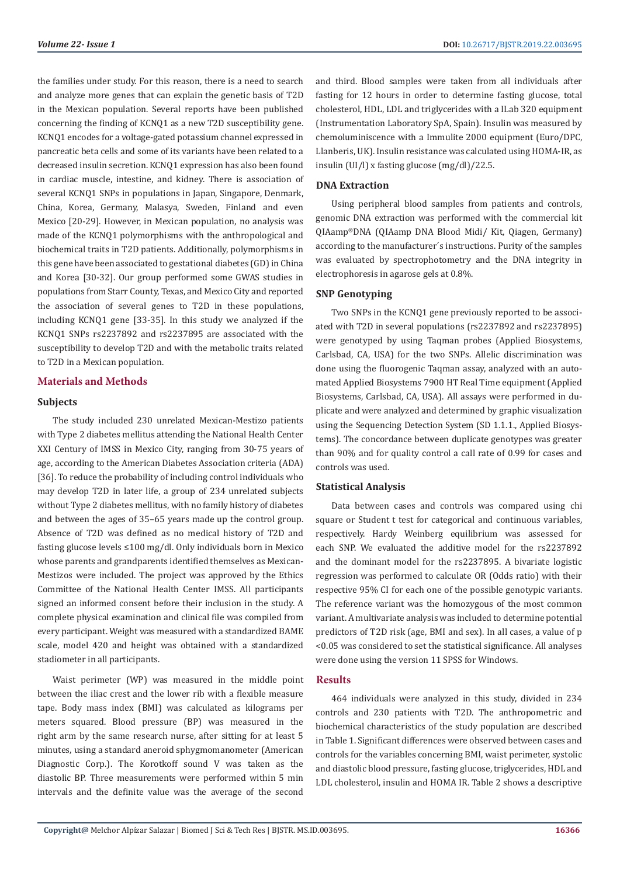the families under study. For this reason, there is a need to search and analyze more genes that can explain the genetic basis of T2D in the Mexican population. Several reports have been published concerning the finding of KCNQ1 as a new T2D susceptibility gene. KCNQ1 encodes for a voltage-gated potassium channel expressed in pancreatic beta cells and some of its variants have been related to a decreased insulin secretion. KCNQ1 expression has also been found in cardiac muscle, intestine, and kidney. There is association of several KCNQ1 SNPs in populations in Japan, Singapore, Denmark, China, Korea, Germany, Malasya, Sweden, Finland and even Mexico [20-29]. However, in Mexican population, no analysis was made of the KCNQ1 polymorphisms with the anthropological and biochemical traits in T2D patients. Additionally, polymorphisms in this gene have been associated to gestational diabetes (GD) in China and Korea [30-32]. Our group performed some GWAS studies in populations from Starr County, Texas, and Mexico City and reported the association of several genes to T2D in these populations, including KCNQ1 gene [33-35]. In this study we analyzed if the KCNQ1 SNPs rs2237892 and rs2237895 are associated with the susceptibility to develop T2D and with the metabolic traits related to T2D in a Mexican population.

# **Materials and Methods**

#### **Subjects**

The study included 230 unrelated Mexican-Mestizo patients with Type 2 diabetes mellitus attending the National Health Center XXI Century of IMSS in Mexico City, ranging from 30-75 years of age, according to the American Diabetes Association criteria (ADA) [36]. To reduce the probability of including control individuals who may develop T2D in later life, a group of 234 unrelated subjects without Type 2 diabetes mellitus, with no family history of diabetes and between the ages of 35–65 years made up the control group. Absence of T2D was defined as no medical history of T2D and fasting glucose levels ≤100 mg/dl. Only individuals born in Mexico whose parents and grandparents identified themselves as Mexican-Mestizos were included. The project was approved by the Ethics Committee of the National Health Center IMSS. All participants signed an informed consent before their inclusion in the study. A complete physical examination and clinical file was compiled from every participant. Weight was measured with a standardized BAME scale, model 420 and height was obtained with a standardized stadiometer in all participants.

Waist perimeter (WP) was measured in the middle point between the iliac crest and the lower rib with a flexible measure tape. Body mass index (BMI) was calculated as kilograms per meters squared. Blood pressure (BP) was measured in the right arm by the same research nurse, after sitting for at least 5 minutes, using a standard aneroid sphygmomanometer (American Diagnostic Corp.). The Korotkoff sound V was taken as the diastolic BP. Three measurements were performed within 5 min intervals and the definite value was the average of the second

and third. Blood samples were taken from all individuals after fasting for 12 hours in order to determine fasting glucose, total cholesterol, HDL, LDL and triglycerides with a ILab 320 equipment (Instrumentation Laboratory SpA, Spain). Insulin was measured by chemoluminiscence with a Immulite 2000 equipment (Euro/DPC, Llanberis, UK). Insulin resistance was calculated using HOMA-IR, as insulin (UI/l) x fasting glucose (mg/dl)/22.5.

# **DNA Extraction**

Using peripheral blood samples from patients and controls, genomic DNA extraction was performed with the commercial kit QIAamp®DNA (QIAamp DNA Blood Midi/ Kit, Qiagen, Germany) according to the manufacturer´s instructions. Purity of the samples was evaluated by spectrophotometry and the DNA integrity in electrophoresis in agarose gels at 0.8%.

# **SNP Genotyping**

Two SNPs in the KCNQ1 gene previously reported to be associated with T2D in several populations (rs2237892 and rs2237895) were genotyped by using Taqman probes (Applied Biosystems, Carlsbad, CA, USA) for the two SNPs. Allelic discrimination was done using the fluorogenic Taqman assay, analyzed with an automated Applied Biosystems 7900 HT Real Time equipment (Applied Biosystems, Carlsbad, CA, USA). All assays were performed in duplicate and were analyzed and determined by graphic visualization using the Sequencing Detection System (SD 1.1.1., Applied Biosystems). The concordance between duplicate genotypes was greater than 90% and for quality control a call rate of 0.99 for cases and controls was used.

#### **Statistical Analysis**

Data between cases and controls was compared using chi square or Student t test for categorical and continuous variables, respectively. Hardy Weinberg equilibrium was assessed for each SNP. We evaluated the additive model for the rs2237892 and the dominant model for the rs2237895. A bivariate logistic regression was performed to calculate OR (Odds ratio) with their respective 95% CI for each one of the possible genotypic variants. The reference variant was the homozygous of the most common variant. A multivariate analysis was included to determine potential predictors of T2D risk (age, BMI and sex). In all cases, a value of p <0.05 was considered to set the statistical significance. All analyses were done using the version 11 SPSS for Windows.

#### **Results**

464 individuals were analyzed in this study, divided in 234 controls and 230 patients with T2D. The anthropometric and biochemical characteristics of the study population are described in Table 1. Significant differences were observed between cases and controls for the variables concerning BMI, waist perimeter, systolic and diastolic blood pressure, fasting glucose, triglycerides, HDL and LDL cholesterol, insulin and HOMA IR. Table 2 shows a descriptive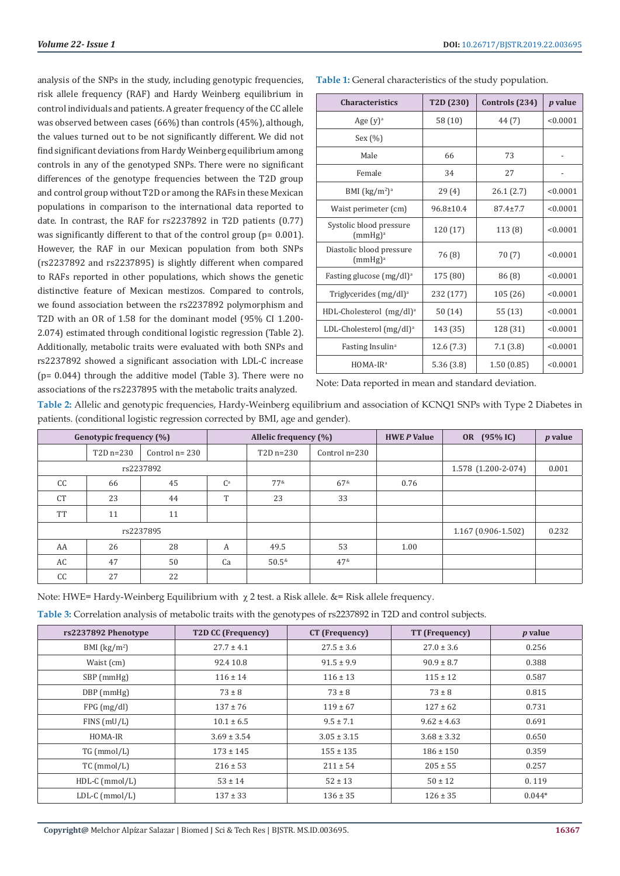analysis of the SNPs in the study, including genotypic frequencies, risk allele frequency (RAF) and Hardy Weinberg equilibrium in control individuals and patients. A greater frequency of the CC allele was observed between cases (66%) than controls (45%), although, the values turned out to be not significantly different. We did not find significant deviations from Hardy Weinberg equilibrium among controls in any of the genotyped SNPs. There were no significant differences of the genotype frequencies between the T2D group and control group without T2D or among the RAFs in these Mexican populations in comparison to the international data reported to date. In contrast, the RAF for rs2237892 in T2D patients (0.77) was significantly different to that of the control group (p= 0.001). However, the RAF in our Mexican population from both SNPs (rs2237892 and rs2237895) is slightly different when compared to RAFs reported in other populations, which shows the genetic distinctive feature of Mexican mestizos. Compared to controls, we found association between the rs2237892 polymorphism and T2D with an OR of 1.58 for the dominant model (95% CI 1.200- 2.074) estimated through conditional logistic regression (Table 2). Additionally, metabolic traits were evaluated with both SNPs and rs2237892 showed a significant association with LDL-C increase (p= 0.044) through the additive model (Table 3). There were no associations of the rs2237895 with the metabolic traits analyzed.

| <b>Characteristics</b>                          | T2D <sub>(230)</sub> | Controls (234) | <i>p</i> value |
|-------------------------------------------------|----------------------|----------------|----------------|
| Age $(y)$ <sup>a</sup>                          | 58(10)               | 44 (7)         | < 0.0001       |
| Sex $(\% )$                                     |                      |                |                |
| Male                                            | 66                   | 73             |                |
| Female                                          | 34                   | 27             |                |
| BMI $(kg/m2)a$                                  | 29(4)                | 26.1(2.7)      | < 0.0001       |
| Waist perimeter (cm)                            | $96.8 \pm 10.4$      | $87.4 \pm 7.7$ | < 0.0001       |
| Systolic blood pressure<br>(mmHg) <sup>a</sup>  | 120 (17)             | 113 (8)        | < 0.0001       |
| Diastolic blood pressure<br>(mmHg) <sup>a</sup> | 76 (8)               | 70(7)          | < 0.0001       |
| Fasting glucose (mg/dl) <sup>a</sup>            | 175 (80)             | 86(8)          | < 0.0001       |
| Triglycerides (mg/dl) <sup>a</sup>              | 232 (177)            | 105 (26)       | < 0.0001       |
| HDL-Cholesterol (mg/dl) <sup>a</sup>            | 50(14)               | 55 (13)        | < 0.0001       |
| LDL-Cholesterol $(mg/dl)^a$                     | 143 (35)             | 128 (31)       | < 0.0001       |
| Fasting Insulin <sup>a</sup>                    | 12.6(7.3)            | 7.1(3.8)       | < 0.0001       |
| HOMA-IR <sup>a</sup>                            | 5.36(3.8)            | 1.50(0.85)     | < 0.0001       |

Note: Data reported in mean and standard deviation.

**Table 2:** Allelic and genotypic frequencies, Hardy-Weinberg equilibrium and association of KCNQ1 SNPs with Type 2 Diabetes in patients. (conditional logistic regression corrected by BMI, age and gender).

| Genotypic frequency (%) |                | Allelic frequency (%) |       | <b>HWE P Value</b> | OR (95% IC)         | <i>p</i> value      |       |  |
|-------------------------|----------------|-----------------------|-------|--------------------|---------------------|---------------------|-------|--|
|                         | $T2D$ n= $230$ | Control $n = 230$     |       | $T2D$ n= $230$     | Control $n=230$     |                     |       |  |
| rs2237892               |                |                       |       |                    |                     | 1.578 (1.200-2-074) | 0.001 |  |
| cc                      | 66             | 45                    | $C^a$ | $77^{\&}$          | $67^{\&}$           | 0.76                |       |  |
| <b>CT</b>               | 23             | 44                    | T     | 23                 | 33                  |                     |       |  |
| <b>TT</b>               | 11             | 11                    |       |                    |                     |                     |       |  |
| rs2237895               |                |                       |       |                    | 1.167 (0.906-1.502) | 0.232               |       |  |
| AA                      | 26             | 28                    | A     | 49.5               | 53                  | 1.00                |       |  |
| AC                      | 47             | 50                    | Ca    | $50.5^{*}$         | 47 <sup>8</sup>     |                     |       |  |
| CC                      | 27             | 22                    |       |                    |                     |                     |       |  |

Note: HWE= Hardy-Weinberg Equilibrium with  $\chi$  2 test. a Risk allele. &= Risk allele frequency.

**Table 3:** Correlation analysis of metabolic traits with the genotypes of rs2237892 in T2D and control subjects.

| rs2237892 Phenotype | T2D CC (Frequency) | CT (Frequency)  | TT (Frequency)  | <i>p</i> value |
|---------------------|--------------------|-----------------|-----------------|----------------|
| BMI $(kg/m2)$       | $27.7 \pm 4.1$     | $27.5 \pm 3.6$  | $27.0 \pm 3.6$  | 0.256          |
| Waist (cm)          | 92.4 10.8          | $91.5 \pm 9.9$  | $90.9 \pm 8.7$  | 0.388          |
| SBP (mmHg)          | $116 \pm 14$       | $116 \pm 13$    | $115 \pm 12$    | 0.587          |
| $DBP$ (mmHg)        | $73 \pm 8$         | $73 \pm 8$      | $73 \pm 8$      | 0.815          |
| FPG(mg/dl)          | $137 \pm 76$       | $119 \pm 67$    | $127 \pm 62$    | 0.731          |
| $FINS$ (mU/L)       | $10.1 \pm 6.5$     | $9.5 \pm 7.1$   | $9.62 \pm 4.63$ | 0.691          |
| HOMA-IR             | $3.69 \pm 3.54$    | $3.05 \pm 3.15$ | $3.68 \pm 3.32$ | 0.650          |
| TG (mmol/L)         | $173 \pm 145$      | $155 \pm 135$   | $186 \pm 150$   | 0.359          |
| $TC$ (mmol/L)       | $216 \pm 53$       | $211 \pm 54$    | $205 \pm 55$    | 0.257          |
| $HDL-C$ (mmol/L)    | $53 \pm 14$        | $52 \pm 13$     | $50 \pm 12$     | 0.119          |
| $LDL-C (mmol/L)$    | $137 \pm 33$       | $136 \pm 35$    | $126 \pm 35$    | $0.044*$       |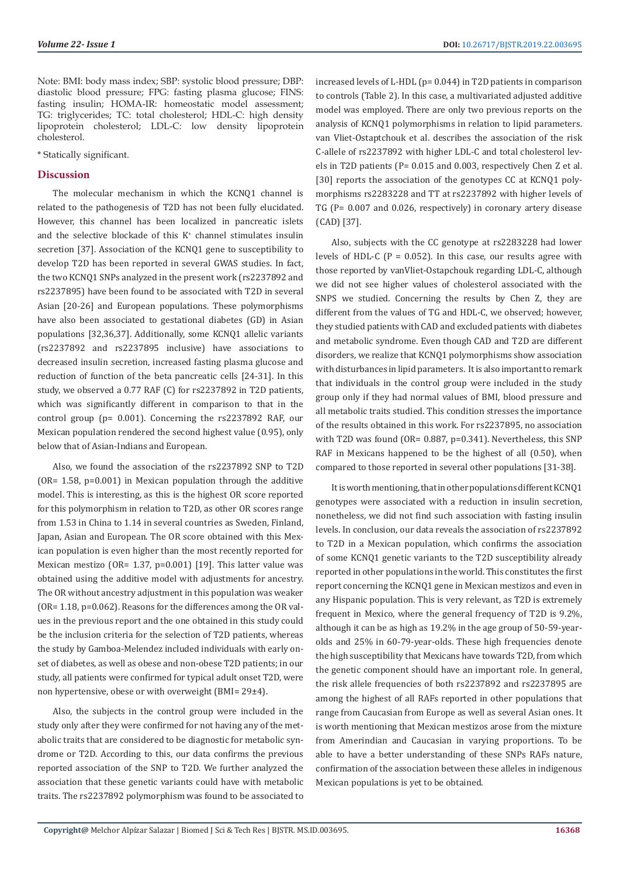Note: BMI: body mass index; SBP: systolic blood pressure; DBP: diastolic blood pressure; FPG: fasting plasma glucose; FINS: fasting insulin; HOMA-IR: homeostatic model assessment; TG: triglycerides; TC: total cholesterol; HDL-C: high density lipoprotein cholesterol; LDL-C: low density lipoprotein cholesterol.

\* Statically significant.

# **Discussion**

The molecular mechanism in which the KCNQ1 channel is related to the pathogenesis of T2D has not been fully elucidated. However, this channel has been localized in pancreatic islets and the selective blockade of this  $K^*$  channel stimulates insulin secretion [37]. Association of the KCNQ1 gene to susceptibility to develop T2D has been reported in several GWAS studies. In fact, the two KCNQ1 SNPs analyzed in the present work (rs2237892 and rs2237895) have been found to be associated with T2D in several Asian [20-26] and European populations. These polymorphisms have also been associated to gestational diabetes (GD) in Asian populations [32,36,37]. Additionally, some KCNQ1 allelic variants (rs2237892 and rs2237895 inclusive) have associations to decreased insulin secretion, increased fasting plasma glucose and reduction of function of the beta pancreatic cells [24-31]. In this study, we observed a 0.77 RAF (C) for rs2237892 in T2D patients, which was significantly different in comparison to that in the control group (p= 0.001). Concerning the rs2237892 RAF, our Mexican population rendered the second highest value (0.95), only below that of Asian-Indians and European.

Also, we found the association of the rs2237892 SNP to T2D (OR= 1.58, p=0.001) in Mexican population through the additive model. This is interesting, as this is the highest OR score reported for this polymorphism in relation to T2D, as other OR scores range from 1.53 in China to 1.14 in several countries as Sweden, Finland, Japan, Asian and European. The OR score obtained with this Mexican population is even higher than the most recently reported for Mexican mestizo (OR= 1.37, p=0.001) [19]. This latter value was obtained using the additive model with adjustments for ancestry. The OR without ancestry adjustment in this population was weaker (OR= 1.18, p=0.062). Reasons for the differences among the OR values in the previous report and the one obtained in this study could be the inclusion criteria for the selection of T2D patients, whereas the study by Gamboa-Melendez included individuals with early onset of diabetes, as well as obese and non-obese T2D patients; in our study, all patients were confirmed for typical adult onset T2D, were non hypertensive, obese or with overweight (BMI= 29±4).

Also, the subjects in the control group were included in the study only after they were confirmed for not having any of the metabolic traits that are considered to be diagnostic for metabolic syndrome or T2D. According to this, our data confirms the previous reported association of the SNP to T2D. We further analyzed the association that these genetic variants could have with metabolic traits. The rs2237892 polymorphism was found to be associated to

increased levels of L-HDL (p= 0.044) in T2D patients in comparison to controls (Table 2). In this case, a multivariated adjusted additive model was employed. There are only two previous reports on the analysis of KCNQ1 polymorphisms in relation to lipid parameters. van Vliet-Ostaptchouk et al. describes the association of the risk C-allele of rs2237892 with higher LDL-C and total cholesterol levels in T2D patients (P= 0.015 and 0.003, respectively Chen Z et al. [30] reports the association of the genotypes CC at KCN01 polymorphisms rs2283228 and TT at rs2237892 with higher levels of TG (P= 0.007 and 0.026, respectively) in coronary artery disease (CAD) [37].

Also, subjects with the CC genotype at rs2283228 had lower levels of HDL-C ( $P = 0.052$ ). In this case, our results agree with those reported by vanVliet-Ostapchouk regarding LDL-C, although we did not see higher values of cholesterol associated with the SNPS we studied. Concerning the results by Chen Z, they are different from the values of TG and HDL-C, we observed; however, they studied patients with CAD and excluded patients with diabetes and metabolic syndrome. Even though CAD and T2D are different disorders, we realize that KCNQ1 polymorphisms show association with disturbances in lipid parameters. It is also important to remark that individuals in the control group were included in the study group only if they had normal values of BMI, blood pressure and all metabolic traits studied. This condition stresses the importance of the results obtained in this work. For rs2237895, no association with T2D was found (OR= 0.887, p=0.341). Nevertheless, this SNP RAF in Mexicans happened to be the highest of all (0.50), when compared to those reported in several other populations [31-38].

It is worth mentioning, that in other populations different KCNQ1 genotypes were associated with a reduction in insulin secretion, nonetheless, we did not find such association with fasting insulin levels. In conclusion, our data reveals the association of rs2237892 to T2D in a Mexican population, which confirms the association of some KCNQ1 genetic variants to the T2D susceptibility already reported in other populations in the world. This constitutes the first report concerning the KCNQ1 gene in Mexican mestizos and even in any Hispanic population. This is very relevant, as T2D is extremely frequent in Mexico, where the general frequency of T2D is 9.2%, although it can be as high as 19.2% in the age group of 50-59-yearolds and 25% in 60-79-year-olds. These high frequencies denote the high susceptibility that Mexicans have towards T2D, from which the genetic component should have an important role. In general, the risk allele frequencies of both rs2237892 and rs2237895 are among the highest of all RAFs reported in other populations that range from Caucasian from Europe as well as several Asian ones. It is worth mentioning that Mexican mestizos arose from the mixture from Amerindian and Caucasian in varying proportions. To be able to have a better understanding of these SNPs RAFs nature, confirmation of the association between these alleles in indigenous Mexican populations is yet to be obtained.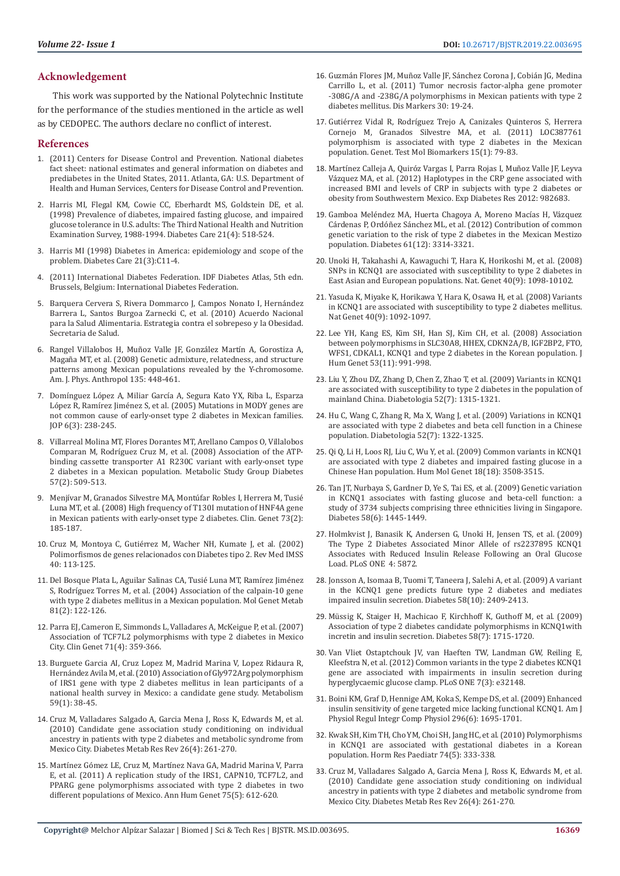# **Acknowledgement**

This work was supported by the National Polytechnic Institute for the performance of the studies mentioned in the article as well as by CEDOPEC. The authors declare no conflict of interest.

#### **References**

- 1. (2011) Centers for Disease Control and Prevention. National diabetes fact sheet: national estimates and general information on diabetes and prediabetes in the United States, 2011. Atlanta, GA: U.S. Department of Health and Human Services, Centers for Disease Control and Prevention.
- 2. Harris MI, Flegal KM, Cowie CC, Eberhardt MS, Goldstein DE, et al. (1998) Prevalence of diabetes, impaired fasting glucose, and impaired glucose tolerance in U.S. adults: The Third National Health and Nutrition Examination Survey, 1988-1994. Diabetes Care 21(4): 518-524.
- 3. Harris MI (1998) Diabetes in America: epidemiology and scope of the problem. Diabetes Care 21(3):C11-4.
- (2011) International Diabetes Federation. IDF Diabetes Atlas, 5th edn. Brussels, Belgium: International Diabetes Federation.
- 5. Barquera Cervera S, Rivera Dommarco J, Campos Nonato I, Hernández Barrera L, Santos Burgoa Zarnecki C, et al. (2010) Acuerdo Nacional para la Salud Alimentaria. Estrategia contra el sobrepeso y la Obesidad. Secretaria de Salud.
- 6. Rangel Villalobos H, Muñoz Valle JF, González Martín A, Gorostiza A, Magaña MT, et al. (2008) Genetic admixture, relatedness, and structure patterns among Mexican populations revealed by the Y-chromosome. Am. J. Phys. Anthropol 135: 448-461.
- 7. Domínguez López A, Miliar García A, Segura Kato YX, Riba L, Esparza López R, Ramírez Jiménez S, et al. (2005) Mutations in MODY genes are not common cause of early-onset type 2 diabetes in Mexican families. JOP 6(3): 238-245.
- 8. Villarreal Molina MT, Flores Dorantes MT, Arellano Campos O, Villalobos Comparan M, Rodríguez Cruz M, et al. (2008) Association of the ATPbinding cassette transporter A1 R230C variant with early-onset type 2 diabetes in a Mexican population. Metabolic Study Group Diabetes 57(2): 509-513.
- 9. Menjívar M, Granados Silvestre MA, Montúfar Robles I, Herrera M, Tusié Luna MT, et al. (2008) High frequency of T130I mutation of HNF4A gene in Mexican patients with early-onset type 2 diabetes. Clin. Genet 73(2): 185-187.
- 10. Cruz M, Montoya C, Gutiérrez M, Wacher NH, Kumate J, et al. (2002) Polimorfismos de genes relacionados con Diabetes tipo 2. Rev Med IMSS 40: 113-125.
- 11. Del Bosque Plata L, Aguilar Salinas CA, Tusié Luna MT, Ramírez Jiménez S, Rodríguez Torres M, et al. (2004) Association of the calpain-10 gene with type 2 diabetes mellitus in a Mexican population. Mol Genet Metab 81(2): 122-126.
- 12. Parra EJ, Cameron E, Simmonds L, Valladares A, McKeigue P, et al. (2007) Association of TCF7L2 polymorphisms with type 2 diabetes in Mexico City. Clin Genet 71(4): 359-366.
- 13. Burguete Garcia AI, Cruz Lopez M, Madrid Marina V, Lopez Ridaura R, Hernández Avila M, et al. (2010) Association of Gly972Arg polymorphism of IRS1 gene with type 2 diabetes mellitus in lean participants of a national health survey in Mexico: a candidate gene study. Metabolism 59(1): 38-45.
- 14. Cruz M, Valladares Salgado A, Garcia Mena J, Ross K, Edwards M, et al. (2010) Candidate gene association study conditioning on individual ancestry in patients with type 2 diabetes and metabolic syndrome from Mexico City. Diabetes Metab Res Rev 26(4): 261-270.
- 15. Martínez Gómez LE, Cruz M, Martínez Nava GA, Madrid Marina V, Parra E, et al. (2011) A replication study of the IRS1, CAPN10, TCF7L2, and PPARG gene polymorphisms associated with type 2 diabetes in two different populations of Mexico. Ann Hum Genet 75(5): 612-620.
- 16. Guzmán Flores JM, Muñoz Valle JF, Sánchez Corona J, Cobián JG, Medina Carrillo L, et al. (2011) Tumor necrosis factor-alpha gene promoter -308G/A and -238G/A polymorphisms in Mexican patients with type 2 diabetes mellitus. Dis Markers 30: 19-24.
- 17. Gutiérrez Vidal R, Rodríguez Trejo A, Canizales Quinteros S, Herrera Cornejo M, Granados Silvestre MA, et al. (2011) LOC387761 polymorphism is associated with type 2 diabetes in the Mexican population. Genet. Test Mol Biomarkers 15(1): 79-83.
- 18. Martínez Calleja A, Quiróz Vargas I, Parra Rojas I, Muñoz Valle JF, Leyva Vázquez MA, et al. (2012) Haplotypes in the CRP gene associated with increased BMI and levels of CRP in subjects with type 2 diabetes or obesity from Southwestern Mexico. Exp Diabetes Res 2012: 982683.
- 19. Gamboa Meléndez MA, Huerta Chagoya A, Moreno Macías H, Vázquez Cárdenas P, Ordóñez Sánchez ML, et al. (2012) Contribution of common genetic variation to the risk of type 2 diabetes in the Mexican Mestizo population. Diabetes 61(12): 3314-3321.
- 20. Unoki H, Takahashi A, Kawaguchi T, Hara K, Horikoshi M, et al. (2008) SNPs in KCNQ1 are associated with susceptibility to type 2 diabetes in East Asian and European populations. Nat. Genet 40(9): 1098-10102.
- 21. Yasuda K, Miyake K, Horikawa Y, Hara K, Osawa H, et al. (2008) Variants in KCNQ1 are associated with susceptibility to type 2 diabetes mellitus. Nat Genet 40(9): 1092-1097.
- 22. Lee YH, Kang ES, Kim SH, Han SJ, Kim CH, et al. (2008) Association between polymorphisms in SLC30A8, HHEX, CDKN2A/B, IGF2BP2, FTO, WFS1, CDKAL1, KCNQ1 and type 2 diabetes in the Korean population. J Hum Genet 53(11): 991-998.
- 23. Liu Y, Zhou DZ, Zhang D, Chen Z, Zhao T, et al. (2009) Variants in KCNQ1 are associated with susceptibility to type 2 diabetes in the population of mainland China. Diabetologia 52(7): 1315-1321.
- 24. Hu C, Wang C, Zhang R, Ma X, Wang J, et al. (2009) Variations in KCNQ1 are associated with type 2 diabetes and beta cell function in a Chinese population. Diabetologia 52(7): 1322-1325.
- 25. Qi Q, Li H, Loos RJ, Liu C, Wu Y, et al. (2009) Common variants in KCNQ1 are associated with type 2 diabetes and impaired fasting glucose in a Chinese Han population. Hum Mol Genet 18(18): 3508-3515.
- 26. Tan JT, Nurbaya S, Gardner D, Ye S, Tai ES, et al. (2009) Genetic variation in KCNQ1 associates with fasting glucose and beta-cell function: a study of 3734 subjects comprising three ethnicities living in Singapore. Diabetes 58(6): 1445-1449.
- 27. Holmkvist J, Banasik K, Andersen G, Unoki H, Jensen TS, et al. (2009) The Type 2 Diabetes Associated Minor Allele of rs2237895 KCNQ1 Associates with Reduced Insulin Release Following an Oral Glucose Load. PLoS ONE 4: 5872.
- 28. Jonsson A, Isomaa B, Tuomi T, Taneera J, Salehi A, et al. (2009) A variant in the KCNQ1 gene predicts future type 2 diabetes and mediates impaired insulin secretion. Diabetes 58(10): 2409-2413.
- 29. Müssig K, Staiger H, Machicao F, Kirchhoff K, Guthoff M, et al. (2009) Association of type 2 diabetes candidate polymorphisms in KCNQ1with incretin and insulin secretion. Diabetes 58(7): 1715-1720.
- 30. Van Vliet Ostaptchouk JV, van Haeften TW, Landman GW, Reiling E, Kleefstra N, et al. (2012) Common variants in the type 2 diabetes KCNQ1 gene are associated with impairments in insulin secretion during hyperglycaemic glucose clamp. PLoS ONE 7(3): e32148.
- 31. Boini KM, Graf D, Hennige AM, Koka S, Kempe DS, et al. (2009) Enhanced insulin sensitivity of gene targeted mice lacking functional KCNQ1. Am J Physiol Regul Integr Comp Physiol 296(6): 1695-1701.
- 32. Kwak SH, Kim TH, Cho YM, Choi SH, Jang HC, et al. (2010) Polymorphisms in KCNQ1 are associated with gestational diabetes in a Korean population. Horm Res Paediatr 74(5): 333-338.
- 33. Cruz M, Valladares Salgado A, Garcia Mena J, Ross K, Edwards M, et al. (2010) Candidate gene association study conditioning on individual ancestry in patients with type 2 diabetes and metabolic syndrome from Mexico City. Diabetes Metab Res Rev 26(4): 261-270.